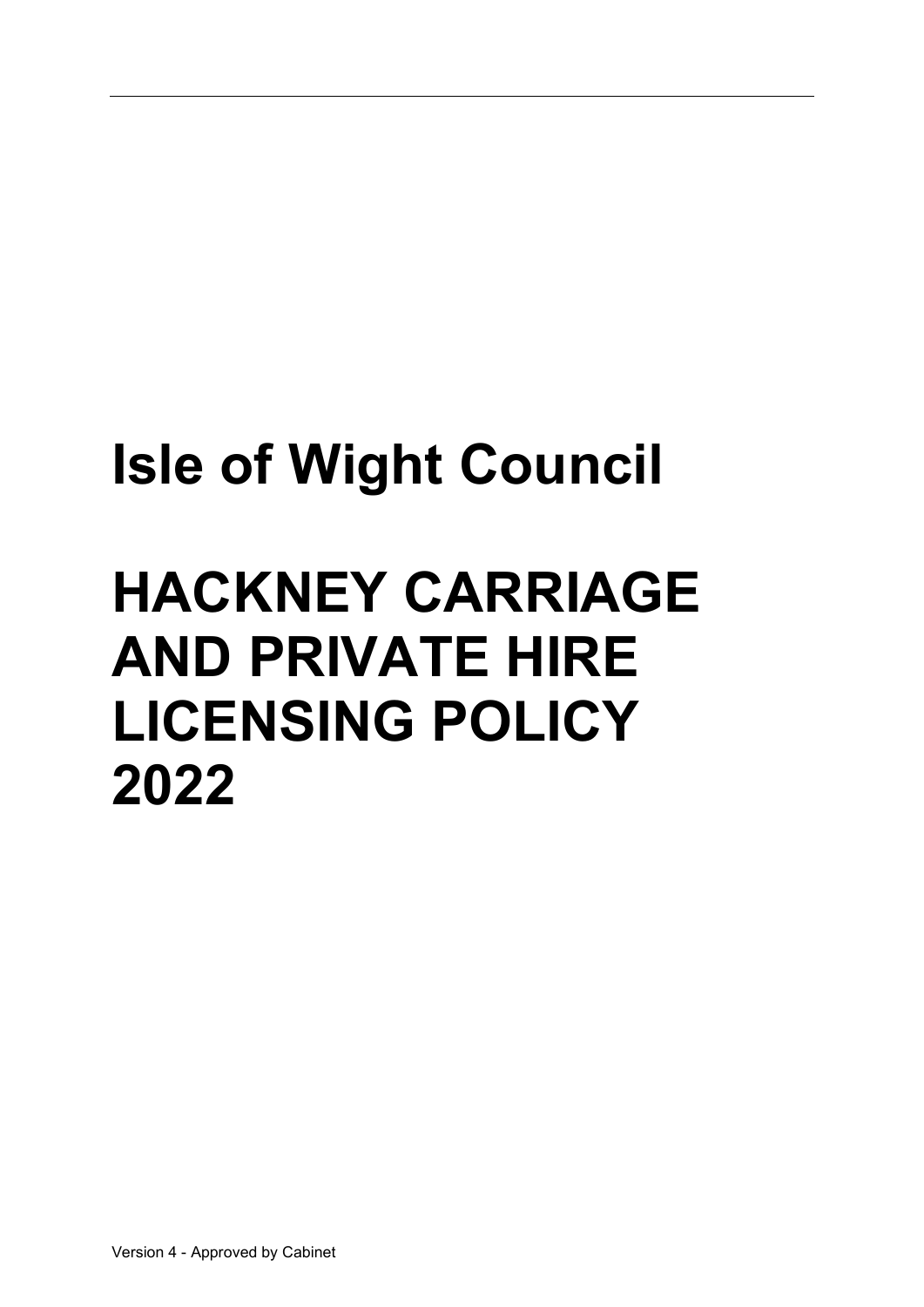# Isle of Wight Council

# HACKNEY CARRIAGE AND PRIVATE HIRE LICENSING POLICY 2022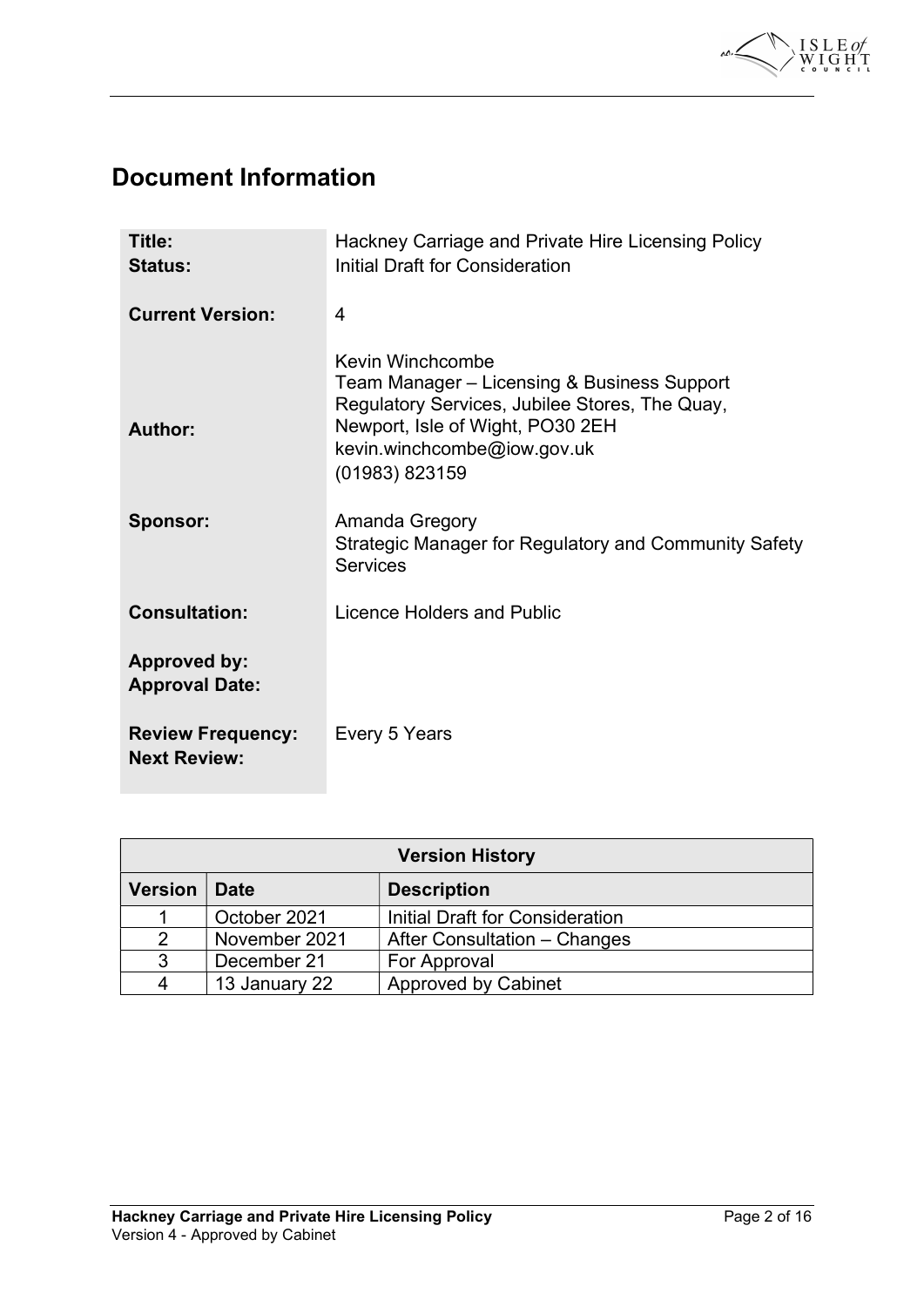

# Document Information

| Title:<br><b>Status:</b>                        | Hackney Carriage and Private Hire Licensing Policy<br>Initial Draft for Consideration                                                                                                                                    |
|-------------------------------------------------|--------------------------------------------------------------------------------------------------------------------------------------------------------------------------------------------------------------------------|
| <b>Current Version:</b>                         | 4                                                                                                                                                                                                                        |
| Author:<br><b>Sponsor:</b>                      | Kevin Winchcombe<br>Team Manager - Licensing & Business Support<br>Regulatory Services, Jubilee Stores, The Quay,<br>Newport, Isle of Wight, PO30 2EH<br>kevin.winchcombe@iow.gov.uk<br>(01983) 823159<br>Amanda Gregory |
|                                                 | <b>Strategic Manager for Regulatory and Community Safety</b><br><b>Services</b>                                                                                                                                          |
| <b>Consultation:</b>                            | Licence Holders and Public                                                                                                                                                                                               |
| <b>Approved by:</b><br><b>Approval Date:</b>    |                                                                                                                                                                                                                          |
| <b>Review Frequency:</b><br><b>Next Review:</b> | Every 5 Years                                                                                                                                                                                                            |

| <b>Version History</b> |               |                                 |  |  |
|------------------------|---------------|---------------------------------|--|--|
| <b>Version</b>         | <b>Date</b>   | <b>Description</b>              |  |  |
|                        | October 2021  | Initial Draft for Consideration |  |  |
| 2                      | November 2021 | After Consultation – Changes    |  |  |
| 3                      | December 21   | For Approval                    |  |  |
| 4                      | 13 January 22 | <b>Approved by Cabinet</b>      |  |  |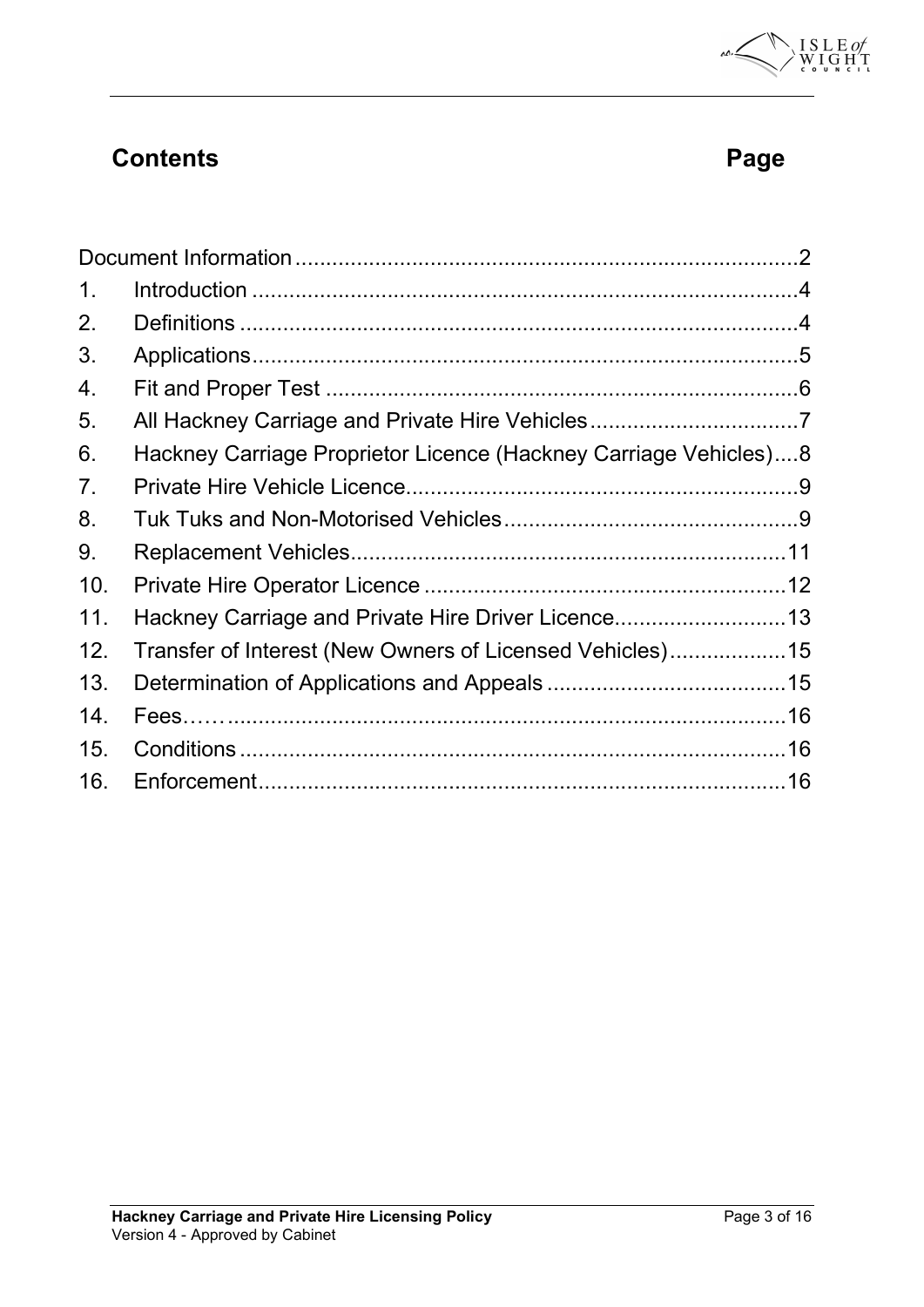

# **Contents Page 2018**

| 1 <sub>1</sub> |                                                                  |  |
|----------------|------------------------------------------------------------------|--|
| 2.             |                                                                  |  |
| 3.             |                                                                  |  |
| 4.             |                                                                  |  |
| 5.             |                                                                  |  |
| 6.             | Hackney Carriage Proprietor Licence (Hackney Carriage Vehicles)8 |  |
| 7.             |                                                                  |  |
| 8.             |                                                                  |  |
| 9.             |                                                                  |  |
| 10.            |                                                                  |  |
| 11.            | Hackney Carriage and Private Hire Driver Licence13               |  |
| 12.            | Transfer of Interest (New Owners of Licensed Vehicles)15         |  |
| 13.            |                                                                  |  |
| 14.            |                                                                  |  |
| 15.            |                                                                  |  |
| 16.            |                                                                  |  |
|                |                                                                  |  |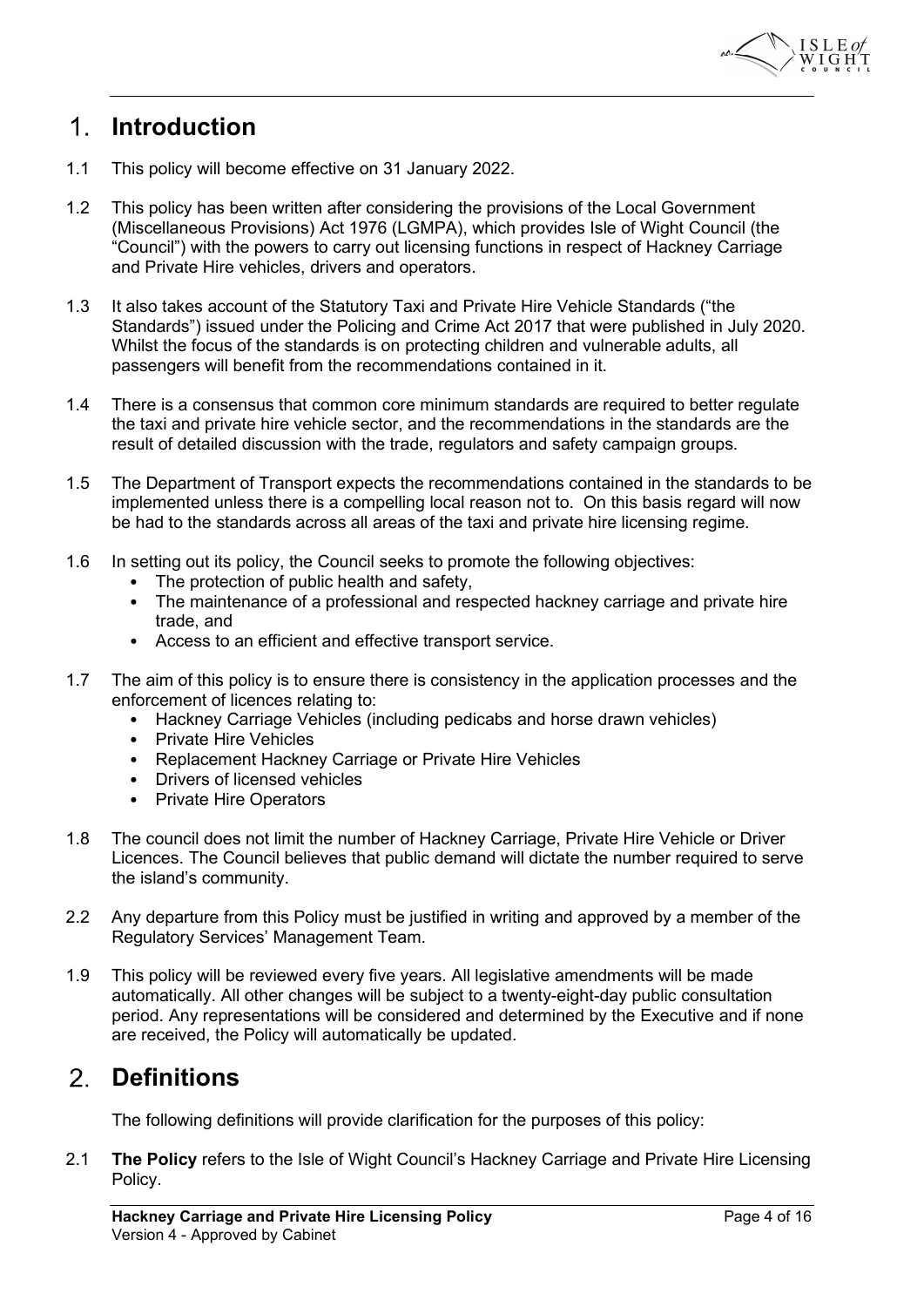

# Introduction

- 1.1 This policy will become effective on 31 January 2022.
- 1.2 This policy has been written after considering the provisions of the Local Government (Miscellaneous Provisions) Act 1976 (LGMPA), which provides Isle of Wight Council (the "Council") with the powers to carry out licensing functions in respect of Hackney Carriage and Private Hire vehicles, drivers and operators.
- 1.3 It also takes account of the Statutory Taxi and Private Hire Vehicle Standards ("the Standards") issued under the Policing and Crime Act 2017 that were published in July 2020. Whilst the focus of the standards is on protecting children and vulnerable adults, all passengers will benefit from the recommendations contained in it.
- 1.4 There is a consensus that common core minimum standards are required to better regulate the taxi and private hire vehicle sector, and the recommendations in the standards are the result of detailed discussion with the trade, regulators and safety campaign groups.
- 1.5 The Department of Transport expects the recommendations contained in the standards to be implemented unless there is a compelling local reason not to. On this basis regard will now be had to the standards across all areas of the taxi and private hire licensing regime.
- 1.6 In setting out its policy, the Council seeks to promote the following objectives:
	- The protection of public health and safety,
	- The maintenance of a professional and respected hackney carriage and private hire trade, and
	- Access to an efficient and effective transport service.
- 1.7 The aim of this policy is to ensure there is consistency in the application processes and the enforcement of licences relating to:
	- Hackney Carriage Vehicles (including pedicabs and horse drawn vehicles)
	- Private Hire Vehicles
	- Replacement Hackney Carriage or Private Hire Vehicles
	- Drivers of licensed vehicles
	- Private Hire Operators
- 1.8 The council does not limit the number of Hackney Carriage, Private Hire Vehicle or Driver Licences. The Council believes that public demand will dictate the number required to serve the island's community.
- 2.2 Any departure from this Policy must be justified in writing and approved by a member of the Regulatory Services' Management Team.
- 1.9 This policy will be reviewed every five years. All legislative amendments will be made automatically. All other changes will be subject to a twenty-eight-day public consultation period. Any representations will be considered and determined by the Executive and if none are received, the Policy will automatically be updated.

## 2. Definitions

The following definitions will provide clarification for the purposes of this policy:

2.1 The Policy refers to the Isle of Wight Council's Hackney Carriage and Private Hire Licensing Policy.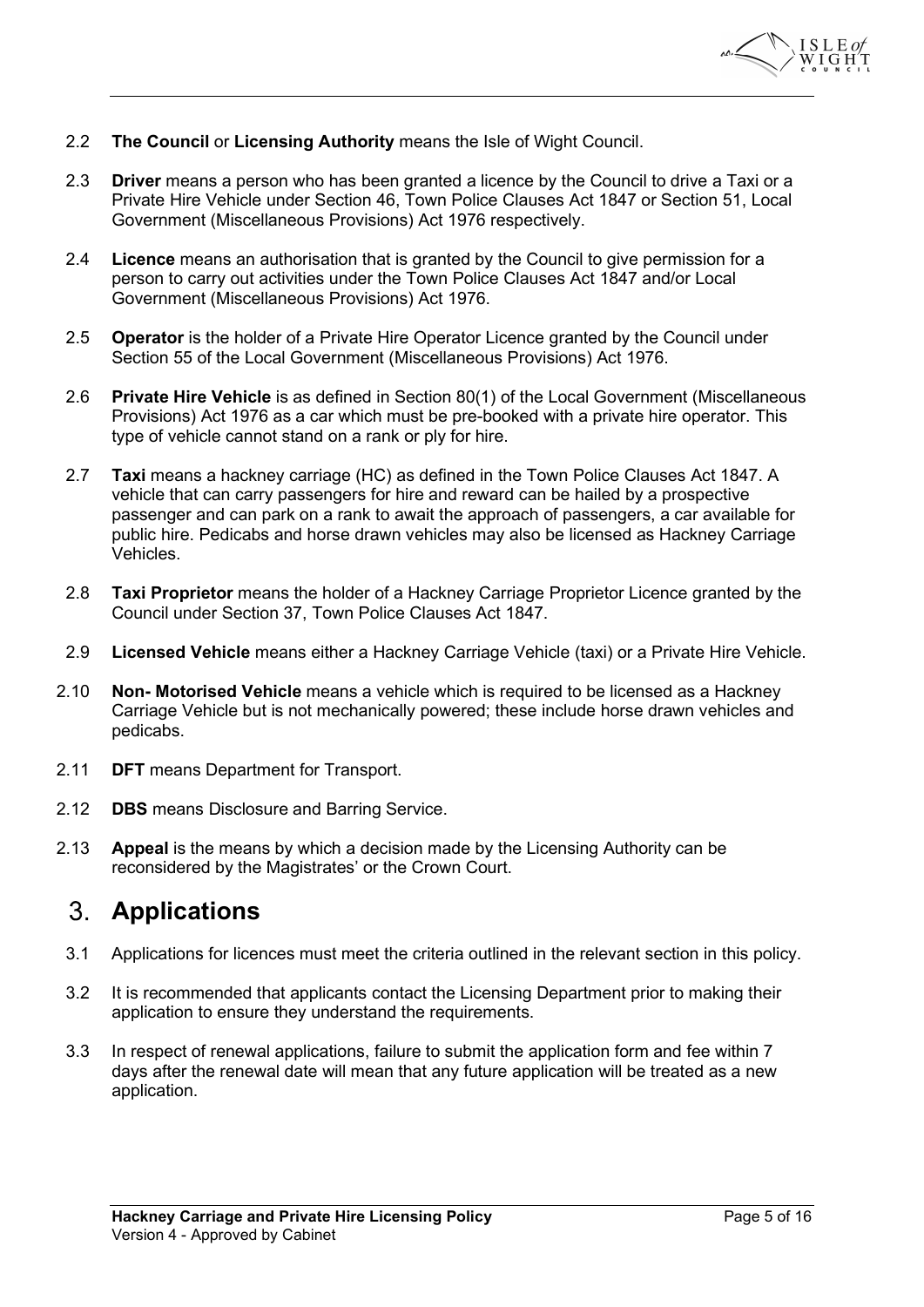

- 2.2 The Council or Licensing Authority means the Isle of Wight Council.
- 2.3 **Driver** means a person who has been granted a licence by the Council to drive a Taxi or a Private Hire Vehicle under Section 46, Town Police Clauses Act 1847 or Section 51, Local Government (Miscellaneous Provisions) Act 1976 respectively.
- 2.4 Licence means an authorisation that is granted by the Council to give permission for a person to carry out activities under the Town Police Clauses Act 1847 and/or Local Government (Miscellaneous Provisions) Act 1976.
- 2.5 **Operator** is the holder of a Private Hire Operator Licence granted by the Council under Section 55 of the Local Government (Miscellaneous Provisions) Act 1976.
- 2.6 Private Hire Vehicle is as defined in Section 80(1) of the Local Government (Miscellaneous Provisions) Act 1976 as a car which must be pre-booked with a private hire operator. This type of vehicle cannot stand on a rank or ply for hire.
- 2.7 **Taxi** means a hackney carriage (HC) as defined in the Town Police Clauses Act 1847. A vehicle that can carry passengers for hire and reward can be hailed by a prospective passenger and can park on a rank to await the approach of passengers, a car available for public hire. Pedicabs and horse drawn vehicles may also be licensed as Hackney Carriage Vehicles.
- 2.8 Taxi Proprietor means the holder of a Hackney Carriage Proprietor Licence granted by the Council under Section 37, Town Police Clauses Act 1847.
- 2.9 Licensed Vehicle means either a Hackney Carriage Vehicle (taxi) or a Private Hire Vehicle.
- 2.10 **Non- Motorised Vehicle** means a vehicle which is required to be licensed as a Hackney Carriage Vehicle but is not mechanically powered; these include horse drawn vehicles and pedicabs.
- 2.11 DFT means Department for Transport.
- 2.12 **DBS** means Disclosure and Barring Service.
- 2.13 Appeal is the means by which a decision made by the Licensing Authority can be reconsidered by the Magistrates' or the Crown Court.

# Applications

- 3.1 Applications for licences must meet the criteria outlined in the relevant section in this policy.
- 3.2 It is recommended that applicants contact the Licensing Department prior to making their application to ensure they understand the requirements.
- 3.3 In respect of renewal applications, failure to submit the application form and fee within 7 days after the renewal date will mean that any future application will be treated as a new application.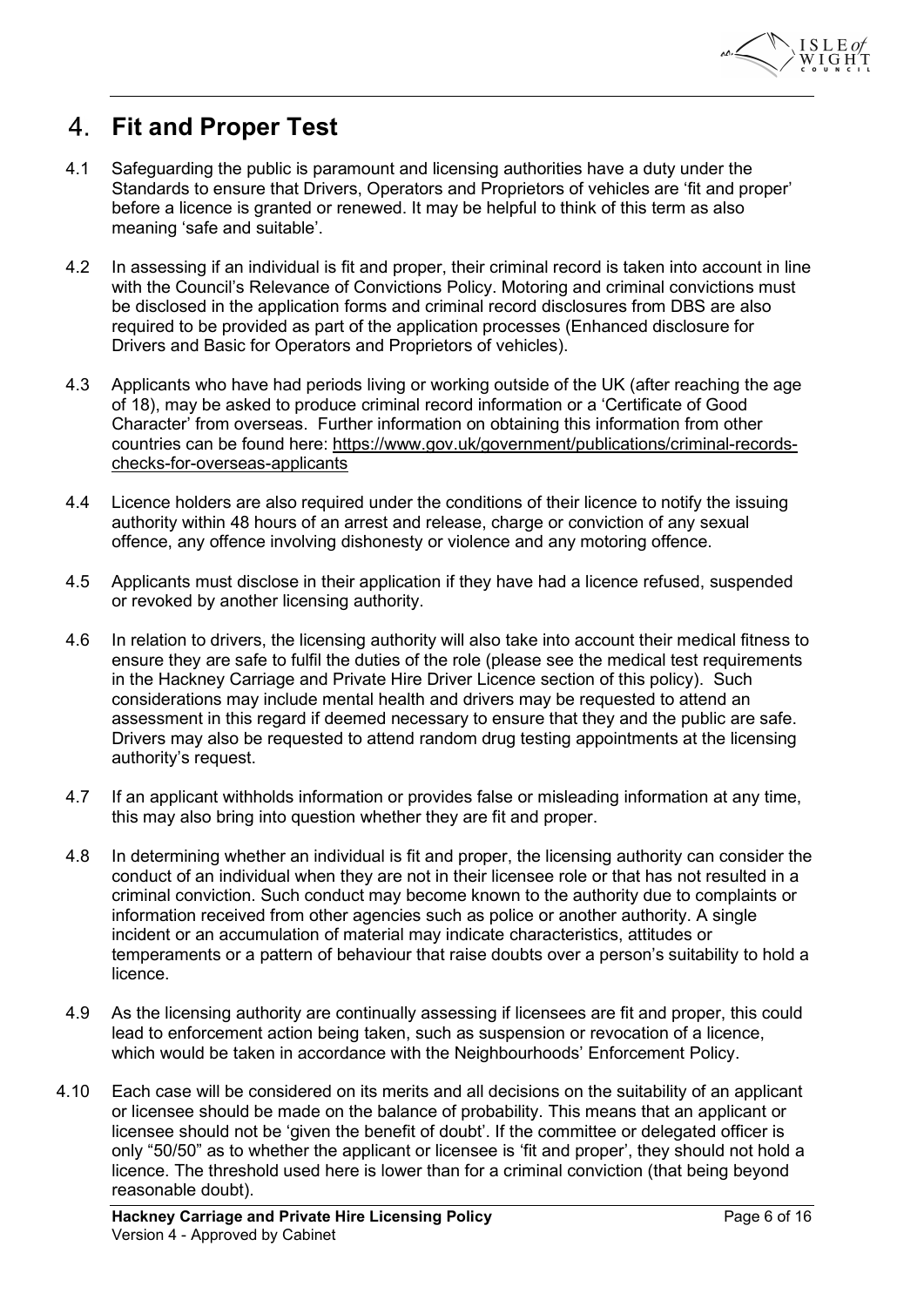

# Fit and Proper Test

- 4.1 Safeguarding the public is paramount and licensing authorities have a duty under the Standards to ensure that Drivers, Operators and Proprietors of vehicles are 'fit and proper' before a licence is granted or renewed. It may be helpful to think of this term as also meaning 'safe and suitable'.
- 4.2 In assessing if an individual is fit and proper, their criminal record is taken into account in line with the Council's Relevance of Convictions Policy. Motoring and criminal convictions must be disclosed in the application forms and criminal record disclosures from DBS are also required to be provided as part of the application processes (Enhanced disclosure for Drivers and Basic for Operators and Proprietors of vehicles).
- 4.3 Applicants who have had periods living or working outside of the UK (after reaching the age of 18), may be asked to produce criminal record information or a 'Certificate of Good Character' from overseas. Further information on obtaining this information from other countries can be found here: https://www.gov.uk/government/publications/criminal-recordschecks-for-overseas-applicants
- 4.4 Licence holders are also required under the conditions of their licence to notify the issuing authority within 48 hours of an arrest and release, charge or conviction of any sexual offence, any offence involving dishonesty or violence and any motoring offence.
- 4.5 Applicants must disclose in their application if they have had a licence refused, suspended or revoked by another licensing authority.
- 4.6 In relation to drivers, the licensing authority will also take into account their medical fitness to ensure they are safe to fulfil the duties of the role (please see the medical test requirements in the Hackney Carriage and Private Hire Driver Licence section of this policy). Such considerations may include mental health and drivers may be requested to attend an assessment in this regard if deemed necessary to ensure that they and the public are safe. Drivers may also be requested to attend random drug testing appointments at the licensing authority's request.
- 4.7 If an applicant withholds information or provides false or misleading information at any time, this may also bring into question whether they are fit and proper.
- 4.8 In determining whether an individual is fit and proper, the licensing authority can consider the conduct of an individual when they are not in their licensee role or that has not resulted in a criminal conviction. Such conduct may become known to the authority due to complaints or information received from other agencies such as police or another authority. A single incident or an accumulation of material may indicate characteristics, attitudes or temperaments or a pattern of behaviour that raise doubts over a person's suitability to hold a licence.
- 4.9 As the licensing authority are continually assessing if licensees are fit and proper, this could lead to enforcement action being taken, such as suspension or revocation of a licence, which would be taken in accordance with the Neighbourhoods' Enforcement Policy.
- 4.10 Each case will be considered on its merits and all decisions on the suitability of an applicant or licensee should be made on the balance of probability. This means that an applicant or licensee should not be 'given the benefit of doubt'. If the committee or delegated officer is only "50/50" as to whether the applicant or licensee is 'fit and proper', they should not hold a licence. The threshold used here is lower than for a criminal conviction (that being beyond reasonable doubt).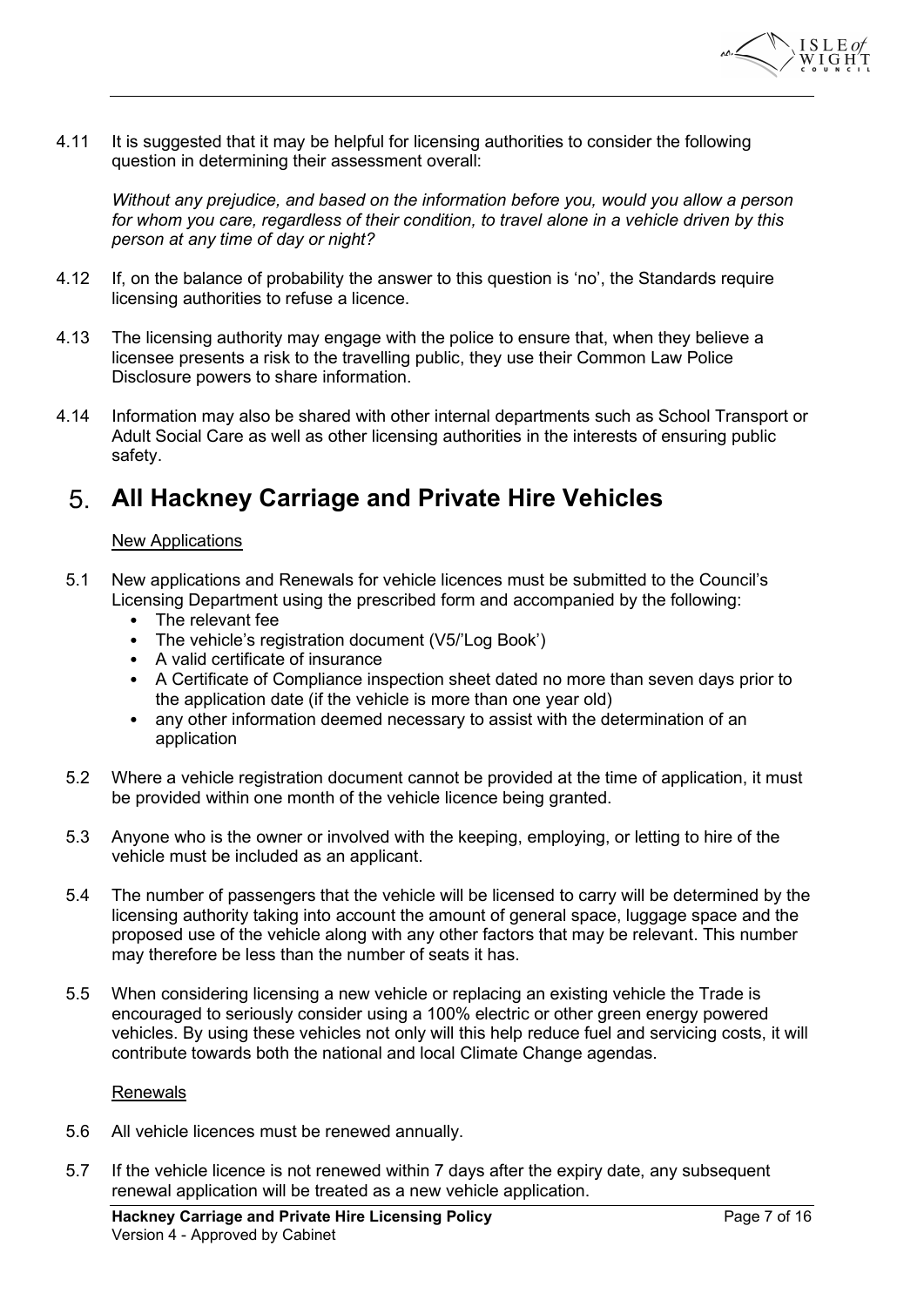

4.11 It is suggested that it may be helpful for licensing authorities to consider the following question in determining their assessment overall:

Without any prejudice, and based on the information before you, would you allow a person for whom you care, regardless of their condition, to travel alone in a vehicle driven by this person at any time of day or night?

- 4.12 If, on the balance of probability the answer to this question is 'no', the Standards require licensing authorities to refuse a licence.
- 4.13 The licensing authority may engage with the police to ensure that, when they believe a licensee presents a risk to the travelling public, they use their Common Law Police Disclosure powers to share information.
- 4.14 Information may also be shared with other internal departments such as School Transport or Adult Social Care as well as other licensing authorities in the interests of ensuring public safety.

# All Hackney Carriage and Private Hire Vehicles

## New Applications

- 5.1 New applications and Renewals for vehicle licences must be submitted to the Council's Licensing Department using the prescribed form and accompanied by the following:
	- The relevant fee
	- The vehicle's registration document (V5/'Log Book')
	- A valid certificate of insurance
	- A Certificate of Compliance inspection sheet dated no more than seven days prior to the application date (if the vehicle is more than one year old)
	- any other information deemed necessary to assist with the determination of an application
- 5.2 Where a vehicle registration document cannot be provided at the time of application, it must be provided within one month of the vehicle licence being granted.
- 5.3 Anyone who is the owner or involved with the keeping, employing, or letting to hire of the vehicle must be included as an applicant.
- 5.4 The number of passengers that the vehicle will be licensed to carry will be determined by the licensing authority taking into account the amount of general space, luggage space and the proposed use of the vehicle along with any other factors that may be relevant. This number may therefore be less than the number of seats it has.
- 5.5 When considering licensing a new vehicle or replacing an existing vehicle the Trade is encouraged to seriously consider using a 100% electric or other green energy powered vehicles. By using these vehicles not only will this help reduce fuel and servicing costs, it will contribute towards both the national and local Climate Change agendas.

### Renewals

- 5.6 All vehicle licences must be renewed annually.
- 5.7 If the vehicle licence is not renewed within 7 days after the expiry date, any subsequent renewal application will be treated as a new vehicle application.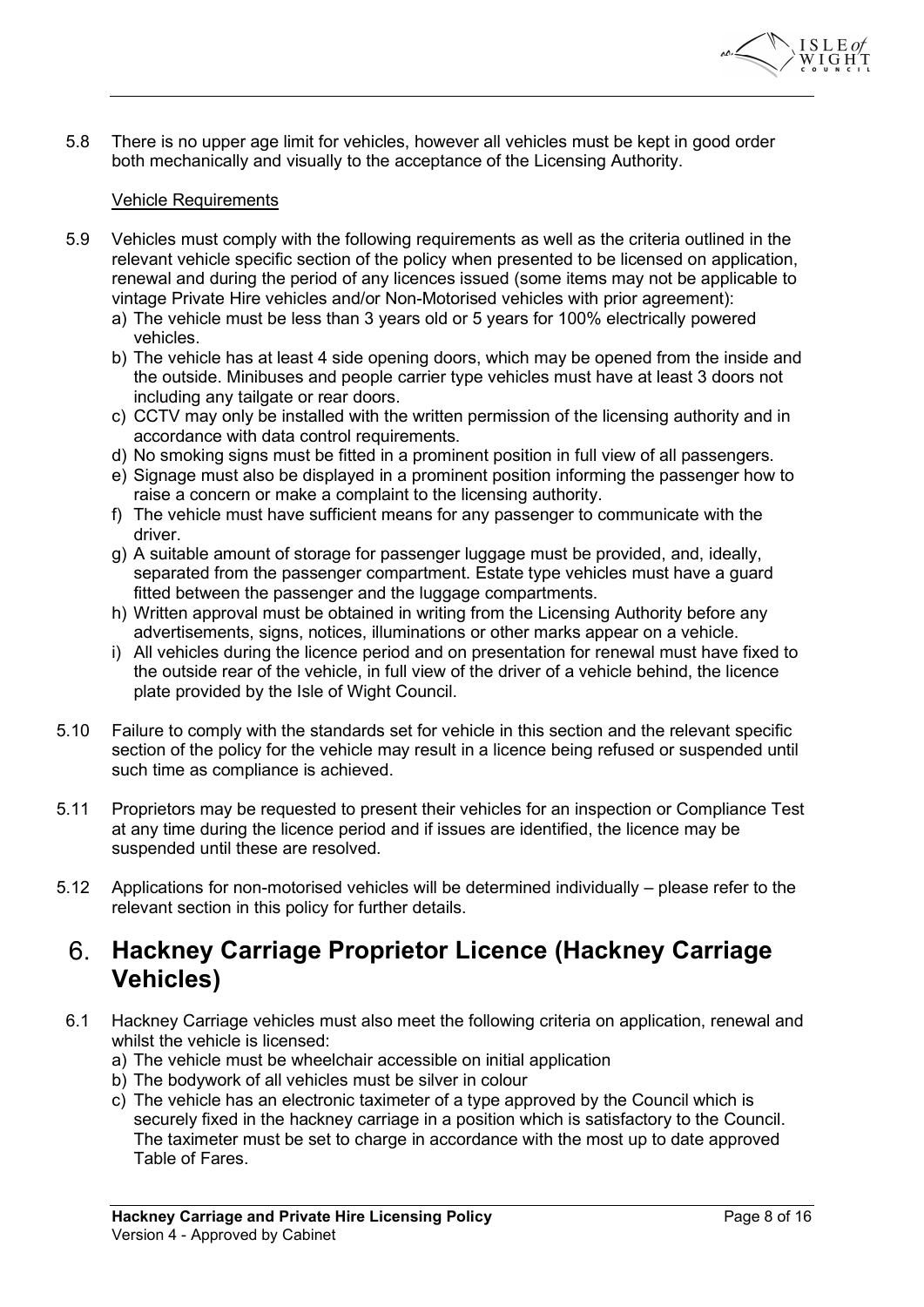

5.8 There is no upper age limit for vehicles, however all vehicles must be kept in good order both mechanically and visually to the acceptance of the Licensing Authority.

## Vehicle Requirements

- 5.9 Vehicles must comply with the following requirements as well as the criteria outlined in the relevant vehicle specific section of the policy when presented to be licensed on application, renewal and during the period of any licences issued (some items may not be applicable to vintage Private Hire vehicles and/or Non-Motorised vehicles with prior agreement):
	- a) The vehicle must be less than 3 years old or 5 years for 100% electrically powered vehicles.
	- b) The vehicle has at least 4 side opening doors, which may be opened from the inside and the outside. Minibuses and people carrier type vehicles must have at least 3 doors not including any tailgate or rear doors.
	- c) CCTV may only be installed with the written permission of the licensing authority and in accordance with data control requirements.
	- d) No smoking signs must be fitted in a prominent position in full view of all passengers.
	- e) Signage must also be displayed in a prominent position informing the passenger how to raise a concern or make a complaint to the licensing authority.
	- f) The vehicle must have sufficient means for any passenger to communicate with the driver.
	- g) A suitable amount of storage for passenger luggage must be provided, and, ideally, separated from the passenger compartment. Estate type vehicles must have a guard fitted between the passenger and the luggage compartments.
	- h) Written approval must be obtained in writing from the Licensing Authority before any advertisements, signs, notices, illuminations or other marks appear on a vehicle.
	- i) All vehicles during the licence period and on presentation for renewal must have fixed to the outside rear of the vehicle, in full view of the driver of a vehicle behind, the licence plate provided by the Isle of Wight Council.
- 5.10 Failure to comply with the standards set for vehicle in this section and the relevant specific section of the policy for the vehicle may result in a licence being refused or suspended until such time as compliance is achieved.
- 5.11 Proprietors may be requested to present their vehicles for an inspection or Compliance Test at any time during the licence period and if issues are identified, the licence may be suspended until these are resolved.
- 5.12 Applications for non-motorised vehicles will be determined individually please refer to the relevant section in this policy for further details.

## Hackney Carriage Proprietor Licence (Hackney Carriage Vehicles)

- 6.1 Hackney Carriage vehicles must also meet the following criteria on application, renewal and whilst the vehicle is licensed:
	- a) The vehicle must be wheelchair accessible on initial application
	- b) The bodywork of all vehicles must be silver in colour
	- c) The vehicle has an electronic taximeter of a type approved by the Council which is securely fixed in the hackney carriage in a position which is satisfactory to the Council. The taximeter must be set to charge in accordance with the most up to date approved Table of Fares.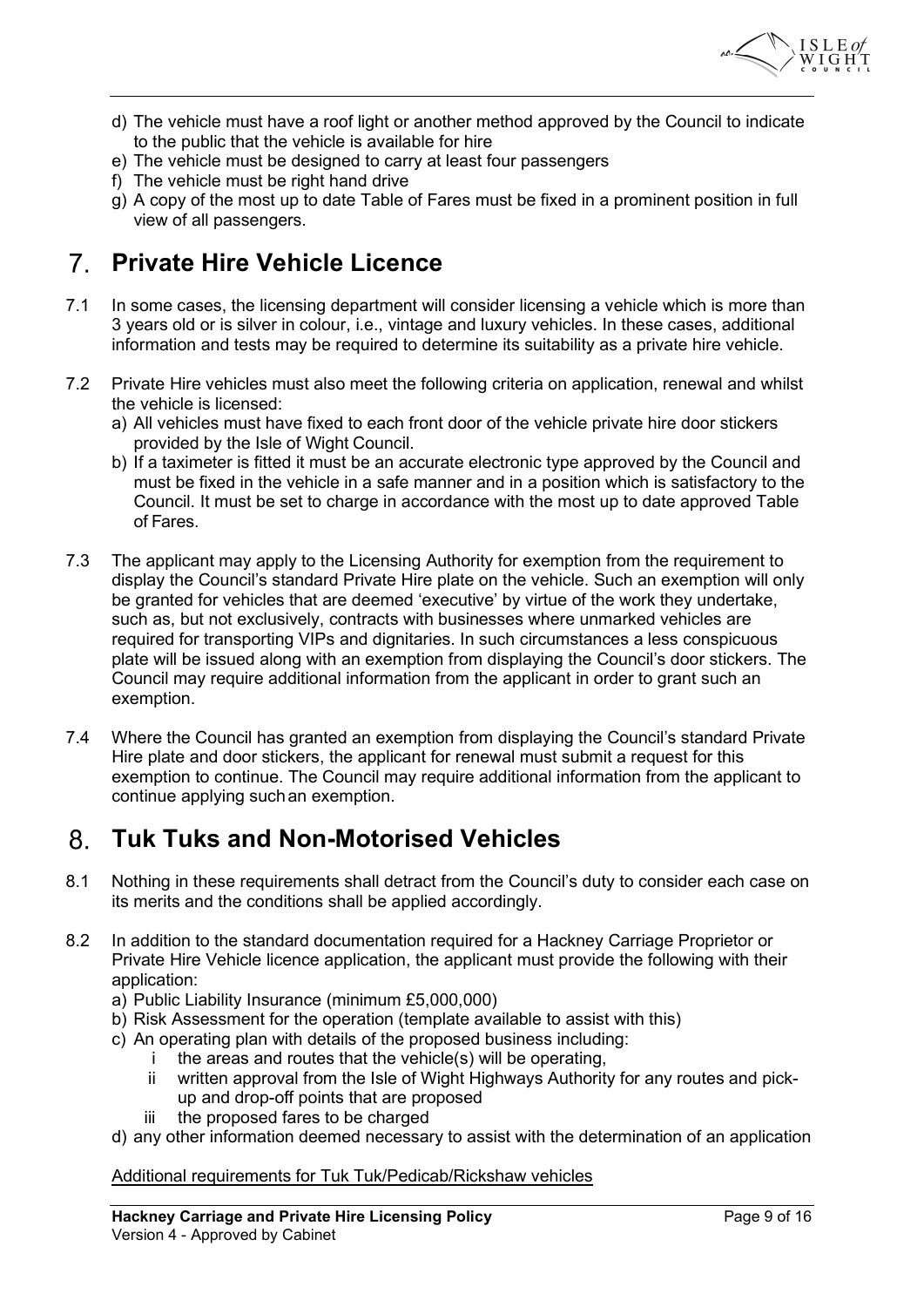

- d) The vehicle must have a roof light or another method approved by the Council to indicate to the public that the vehicle is available for hire
- e) The vehicle must be designed to carry at least four passengers
- f) The vehicle must be right hand drive
- $\alpha$ ) A copy of the most up to date Table of Fares must be fixed in a prominent position in full view of all passengers.

# Private Hire Vehicle Licence

- 7.1 In some cases, the licensing department will consider licensing a vehicle which is more than 3 years old or is silver in colour, i.e., vintage and luxury vehicles. In these cases, additional information and tests may be required to determine its suitability as a private hire vehicle.
- 7.2 Private Hire vehicles must also meet the following criteria on application, renewal and whilst the vehicle is licensed:
	- a) All vehicles must have fixed to each front door of the vehicle private hire door stickers provided by the Isle of Wight Council.
	- b) If a taximeter is fitted it must be an accurate electronic type approved by the Council and must be fixed in the vehicle in a safe manner and in a position which is satisfactory to the Council. It must be set to charge in accordance with the most up to date approved Table of Fares.
- 7.3 The applicant may apply to the Licensing Authority for exemption from the requirement to display the Council's standard Private Hire plate on the vehicle. Such an exemption will only be granted for vehicles that are deemed 'executive' by virtue of the work they undertake, such as, but not exclusively, contracts with businesses where unmarked vehicles are required for transporting VIPs and dignitaries. In such circumstances a less conspicuous plate will be issued along with an exemption from displaying the Council's door stickers. The Council may require additional information from the applicant in order to grant such an exemption.
- 7.4 Where the Council has granted an exemption from displaying the Council's standard Private Hire plate and door stickers, the applicant for renewal must submit a request for this exemption to continue. The Council may require additional information from the applicant to continue applying such an exemption.

#### $8<sub>1</sub>$ Tuk Tuks and Non-Motorised Vehicles

- 8.1 Nothing in these requirements shall detract from the Council's duty to consider each case on its merits and the conditions shall be applied accordingly.
- 8.2 In addition to the standard documentation required for a Hackney Carriage Proprietor or Private Hire Vehicle licence application, the applicant must provide the following with their application:
	- a) Public Liability Insurance (minimum £5,000,000)
	- b) Risk Assessment for the operation (template available to assist with this)
	- c) An operating plan with details of the proposed business including:
		- i the areas and routes that the vehicle(s) will be operating,
		- ii written approval from the Isle of Wight Highways Authority for any routes and pickup and drop-off points that are proposed
		- iii the proposed fares to be charged
	- d) any other information deemed necessary to assist with the determination of an application

## Additional requirements for Tuk Tuk/Pedicab/Rickshaw vehicles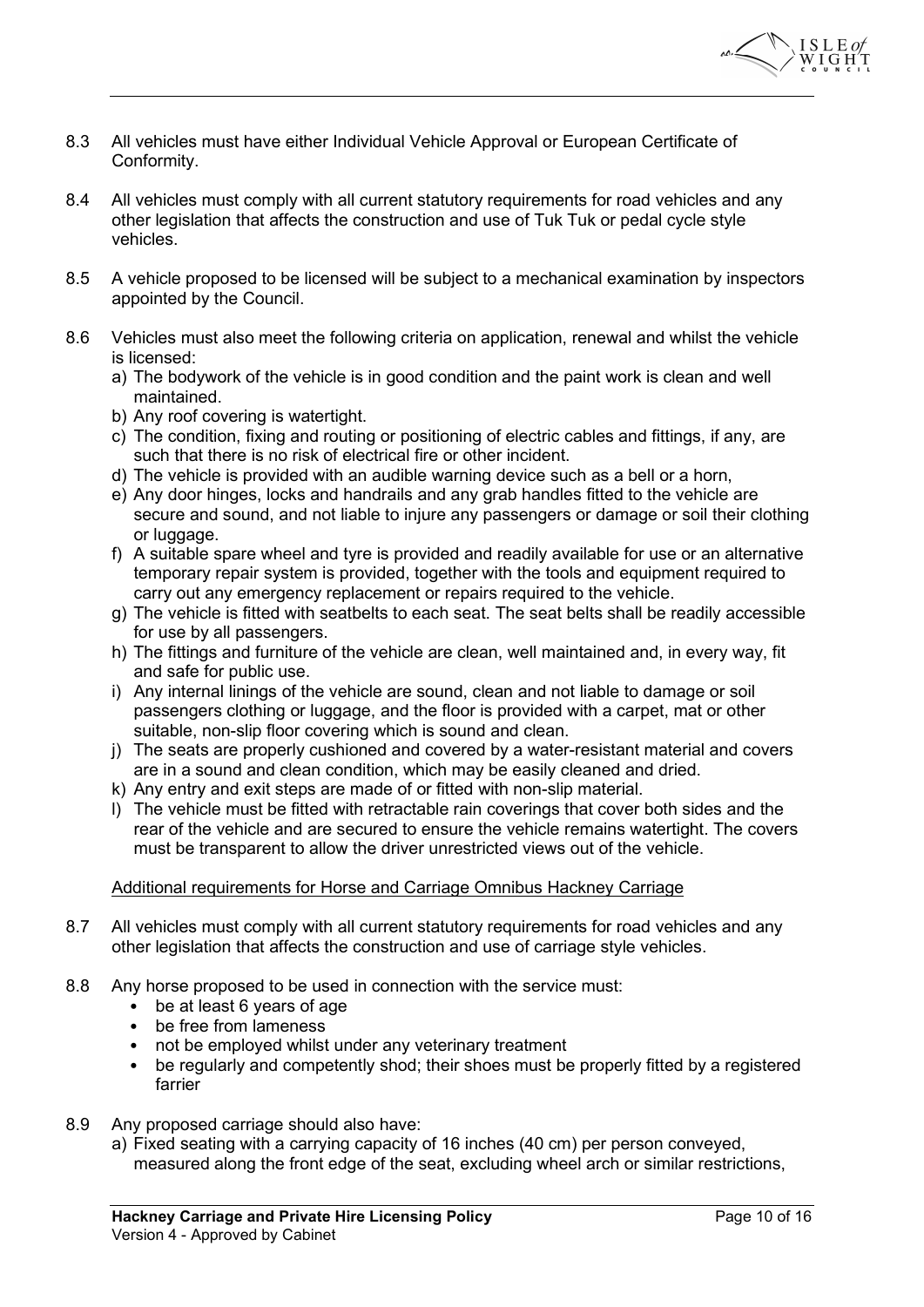

- 8.3 All vehicles must have either Individual Vehicle Approval or European Certificate of Conformity.
- 8.4 All vehicles must comply with all current statutory requirements for road vehicles and any other legislation that affects the construction and use of Tuk Tuk or pedal cycle style vehicles.
- 8.5 A vehicle proposed to be licensed will be subject to a mechanical examination by inspectors appointed by the Council.
- 8.6 Vehicles must also meet the following criteria on application, renewal and whilst the vehicle is licensed:
	- a) The bodywork of the vehicle is in good condition and the paint work is clean and well maintained.
	- b) Any roof covering is watertight.
	- c) The condition, fixing and routing or positioning of electric cables and fittings, if any, are such that there is no risk of electrical fire or other incident.
	- d) The vehicle is provided with an audible warning device such as a bell or a horn,
	- e) Any door hinges, locks and handrails and any grab handles fitted to the vehicle are secure and sound, and not liable to injure any passengers or damage or soil their clothing or luggage.
	- f) A suitable spare wheel and tyre is provided and readily available for use or an alternative temporary repair system is provided, together with the tools and equipment required to carry out any emergency replacement or repairs required to the vehicle.
	- g) The vehicle is fitted with seatbelts to each seat. The seat belts shall be readily accessible for use by all passengers.
	- h) The fittings and furniture of the vehicle are clean, well maintained and, in every way, fit and safe for public use.
	- i) Any internal linings of the vehicle are sound, clean and not liable to damage or soil passengers clothing or luggage, and the floor is provided with a carpet, mat or other suitable, non-slip floor covering which is sound and clean.
	- j) The seats are properly cushioned and covered by a water-resistant material and covers are in a sound and clean condition, which may be easily cleaned and dried.
	- k) Any entry and exit steps are made of or fitted with non-slip material.
	- l) The vehicle must be fitted with retractable rain coverings that cover both sides and the rear of the vehicle and are secured to ensure the vehicle remains watertight. The covers must be transparent to allow the driver unrestricted views out of the vehicle.

## Additional requirements for Horse and Carriage Omnibus Hackney Carriage

- 8.7 All vehicles must comply with all current statutory requirements for road vehicles and any other legislation that affects the construction and use of carriage style vehicles.
- 8.8 Any horse proposed to be used in connection with the service must:
	- be at least 6 years of age
	- be free from lameness
	- not be employed whilst under any veterinary treatment
	- be regularly and competently shod; their shoes must be properly fitted by a registered farrier
- 8.9 Any proposed carriage should also have:
	- a) Fixed seating with a carrying capacity of 16 inches (40 cm) per person conveyed, measured along the front edge of the seat, excluding wheel arch or similar restrictions,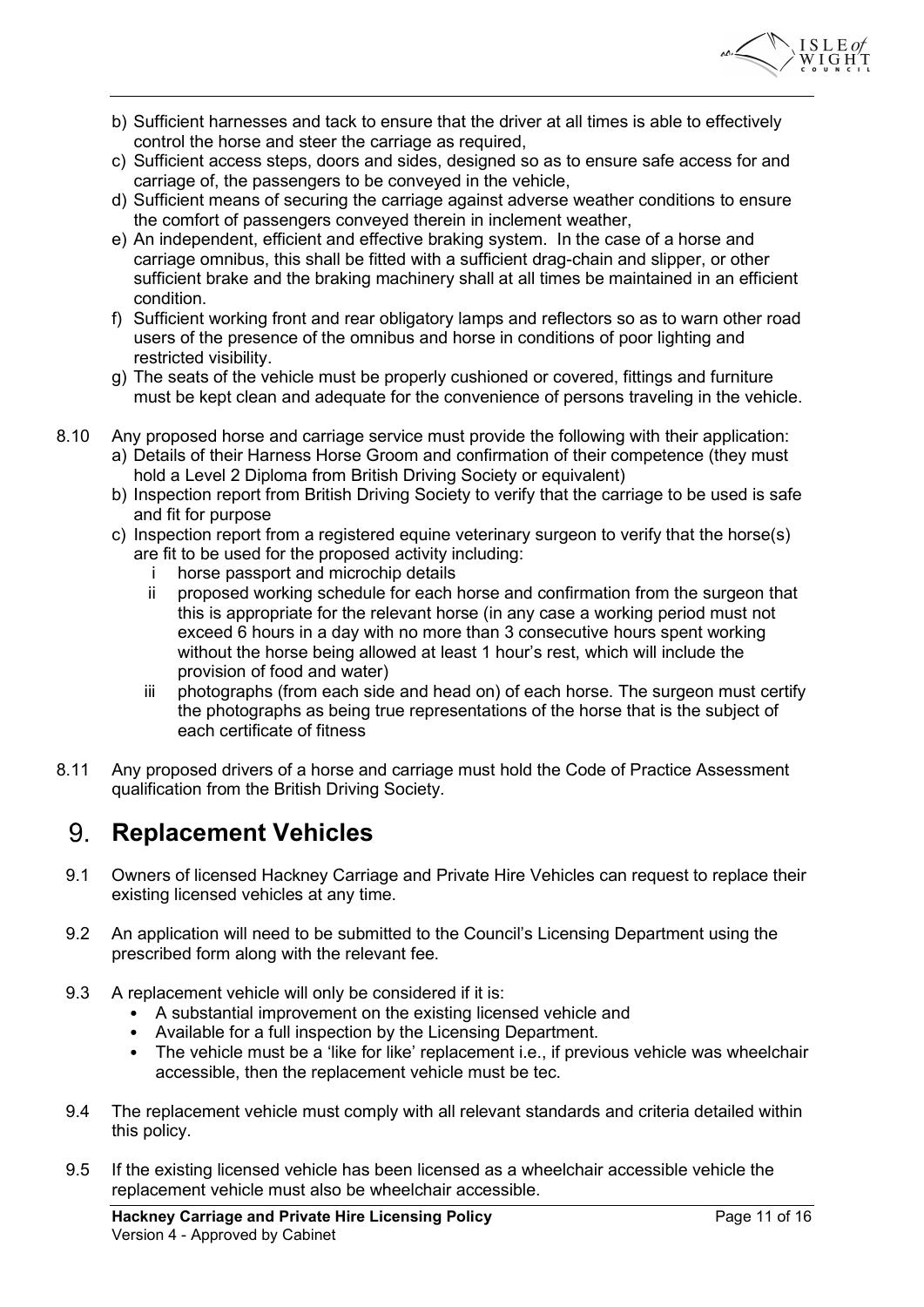

- b) Sufficient harnesses and tack to ensure that the driver at all times is able to effectively control the horse and steer the carriage as required,
- c) Sufficient access steps, doors and sides, designed so as to ensure safe access for and carriage of, the passengers to be conveyed in the vehicle,
- d) Sufficient means of securing the carriage against adverse weather conditions to ensure the comfort of passengers conveyed therein in inclement weather,
- e) An independent, efficient and effective braking system. In the case of a horse and carriage omnibus, this shall be fitted with a sufficient drag-chain and slipper, or other sufficient brake and the braking machinery shall at all times be maintained in an efficient condition.
- f) Sufficient working front and rear obligatory lamps and reflectors so as to warn other road users of the presence of the omnibus and horse in conditions of poor lighting and restricted visibility.
- g) The seats of the vehicle must be properly cushioned or covered, fittings and furniture must be kept clean and adequate for the convenience of persons traveling in the vehicle.
- 8.10 Any proposed horse and carriage service must provide the following with their application: a) Details of their Harness Horse Groom and confirmation of their competence (they must hold a Level 2 Diploma from British Driving Society or equivalent)
	- b) Inspection report from British Driving Society to verify that the carriage to be used is safe and fit for purpose
	- c) Inspection report from a registered equine veterinary surgeon to verify that the horse(s) are fit to be used for the proposed activity including:
		- i horse passport and microchip details
		- ii proposed working schedule for each horse and confirmation from the surgeon that this is appropriate for the relevant horse (in any case a working period must not exceed 6 hours in a day with no more than 3 consecutive hours spent working without the horse being allowed at least 1 hour's rest, which will include the provision of food and water)
		- iii photographs (from each side and head on) of each horse. The surgeon must certify the photographs as being true representations of the horse that is the subject of each certificate of fitness
- 8.11 Any proposed drivers of a horse and carriage must hold the Code of Practice Assessment qualification from the British Driving Society.

#### 9. Replacement Vehicles

- 9.1 Owners of licensed Hackney Carriage and Private Hire Vehicles can request to replace their existing licensed vehicles at any time.
- 9.2 An application will need to be submitted to the Council's Licensing Department using the prescribed form along with the relevant fee.
- 9.3 A replacement vehicle will only be considered if it is:
	- A substantial improvement on the existing licensed vehicle and
	- Available for a full inspection by the Licensing Department.
	- The vehicle must be a 'like for like' replacement i.e., if previous vehicle was wheelchair accessible, then the replacement vehicle must be tec.
- 9.4 The replacement vehicle must comply with all relevant standards and criteria detailed within this policy.
- 9.5 If the existing licensed vehicle has been licensed as a wheelchair accessible vehicle the replacement vehicle must also be wheelchair accessible.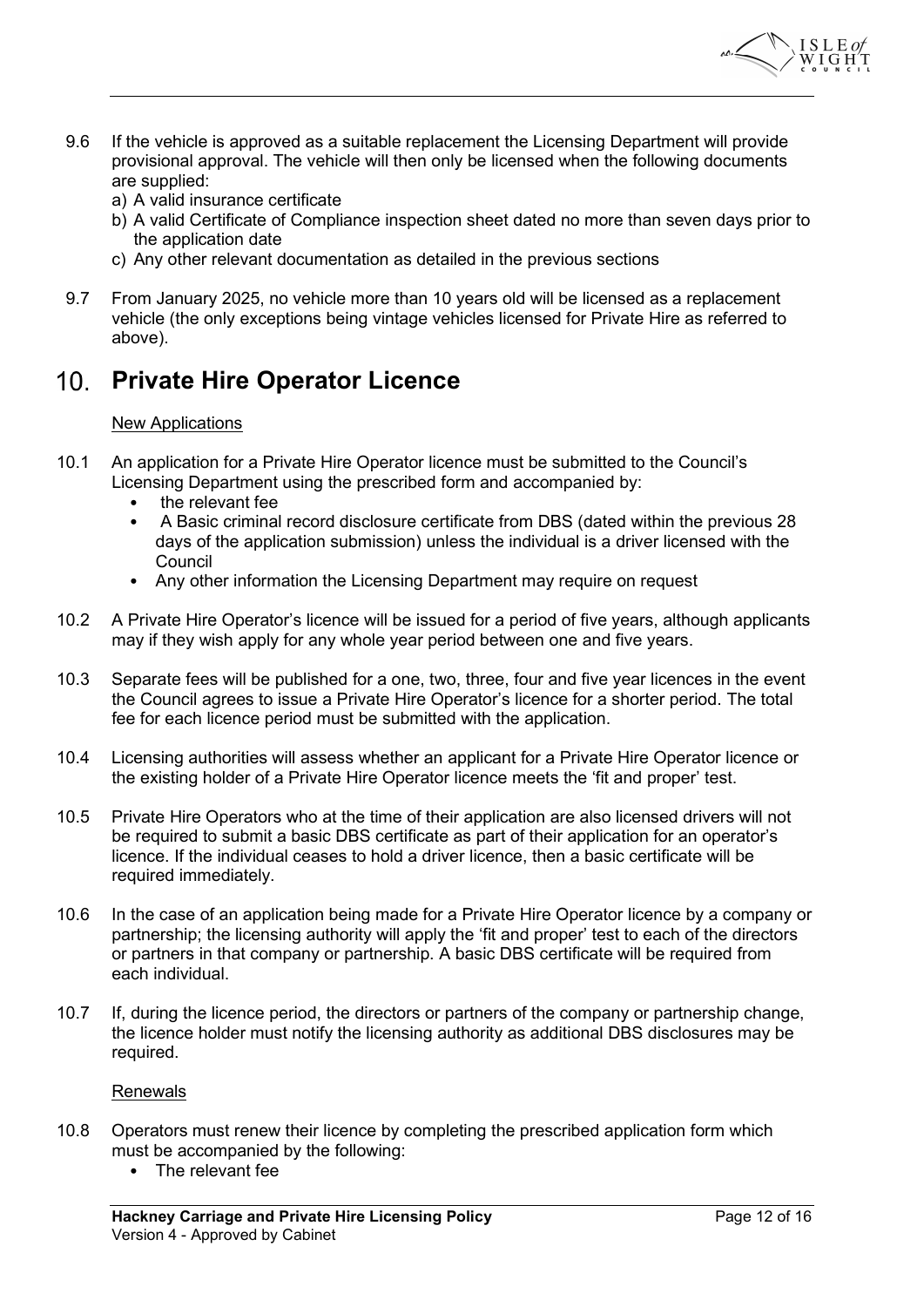

- 9.6 If the vehicle is approved as a suitable replacement the Licensing Department will provide provisional approval. The vehicle will then only be licensed when the following documents are supplied:
	- a) A valid insurance certificate
	- b) A valid Certificate of Compliance inspection sheet dated no more than seven days prior to the application date
	- c) Any other relevant documentation as detailed in the previous sections
- 9.7 From January 2025, no vehicle more than 10 years old will be licensed as a replacement vehicle (the only exceptions being vintage vehicles licensed for Private Hire as referred to above).

# 10. Private Hire Operator Licence

## New Applications

- 10.1 An application for a Private Hire Operator licence must be submitted to the Council's Licensing Department using the prescribed form and accompanied by:
	- the relevant fee
	- A Basic criminal record disclosure certificate from DBS (dated within the previous 28 days of the application submission) unless the individual is a driver licensed with the **Council**
	- Any other information the Licensing Department may require on request
- 10.2 A Private Hire Operator's licence will be issued for a period of five years, although applicants may if they wish apply for any whole year period between one and five years.
- 10.3 Separate fees will be published for a one, two, three, four and five year licences in the event the Council agrees to issue a Private Hire Operator's licence for a shorter period. The total fee for each licence period must be submitted with the application.
- 10.4 Licensing authorities will assess whether an applicant for a Private Hire Operator licence or the existing holder of a Private Hire Operator licence meets the 'fit and proper' test.
- 10.5 Private Hire Operators who at the time of their application are also licensed drivers will not be required to submit a basic DBS certificate as part of their application for an operator's licence. If the individual ceases to hold a driver licence, then a basic certificate will be required immediately.
- 10.6 In the case of an application being made for a Private Hire Operator licence by a company or partnership; the licensing authority will apply the 'fit and proper' test to each of the directors or partners in that company or partnership. A basic DBS certificate will be required from each individual.
- 10.7 If, during the licence period, the directors or partners of the company or partnership change, the licence holder must notify the licensing authority as additional DBS disclosures may be required.

### Renewals

- 10.8 Operators must renew their licence by completing the prescribed application form which must be accompanied by the following:
	- The relevant fee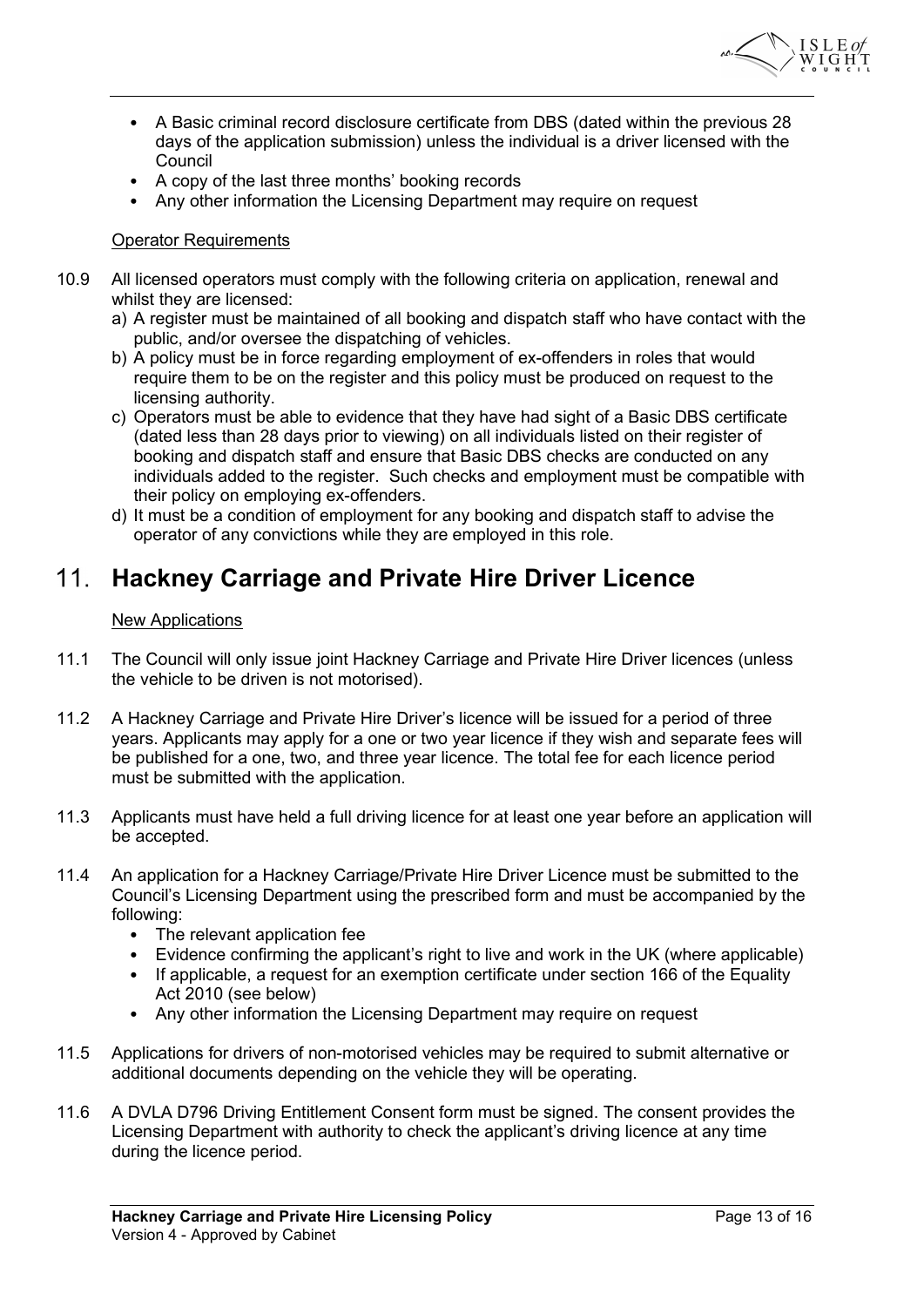

- A Basic criminal record disclosure certificate from DBS (dated within the previous 28 days of the application submission) unless the individual is a driver licensed with the **Council**
- A copy of the last three months' booking records
- Any other information the Licensing Department may require on request

## Operator Requirements

- 10.9 All licensed operators must comply with the following criteria on application, renewal and whilst they are licensed:
	- a) A register must be maintained of all booking and dispatch staff who have contact with the public, and/or oversee the dispatching of vehicles.
	- b) A policy must be in force regarding employment of ex-offenders in roles that would require them to be on the register and this policy must be produced on request to the licensing authority.
	- c) Operators must be able to evidence that they have had sight of a Basic DBS certificate (dated less than 28 days prior to viewing) on all individuals listed on their register of booking and dispatch staff and ensure that Basic DBS checks are conducted on any individuals added to the register. Such checks and employment must be compatible with their policy on employing ex-offenders.
	- d) It must be a condition of employment for any booking and dispatch staff to advise the operator of any convictions while they are employed in this role.

#### $11<sub>1</sub>$ Hackney Carriage and Private Hire Driver Licence

### New Applications

- 11.1 The Council will only issue joint Hackney Carriage and Private Hire Driver licences (unless the vehicle to be driven is not motorised).
- 11.2 A Hackney Carriage and Private Hire Driver's licence will be issued for a period of three years. Applicants may apply for a one or two year licence if they wish and separate fees will be published for a one, two, and three year licence. The total fee for each licence period must be submitted with the application.
- 11.3 Applicants must have held a full driving licence for at least one year before an application will be accepted.
- 11.4 An application for a Hackney Carriage/Private Hire Driver Licence must be submitted to the Council's Licensing Department using the prescribed form and must be accompanied by the following:
	- The relevant application fee
	- Evidence confirming the applicant's right to live and work in the UK (where applicable)
	- If applicable, a request for an exemption certificate under section 166 of the Equality Act 2010 (see below)
	- Any other information the Licensing Department may require on request
- 11.5 Applications for drivers of non-motorised vehicles may be required to submit alternative or additional documents depending on the vehicle they will be operating.
- 11.6 A DVLA D796 Driving Entitlement Consent form must be signed. The consent provides the Licensing Department with authority to check the applicant's driving licence at any time during the licence period.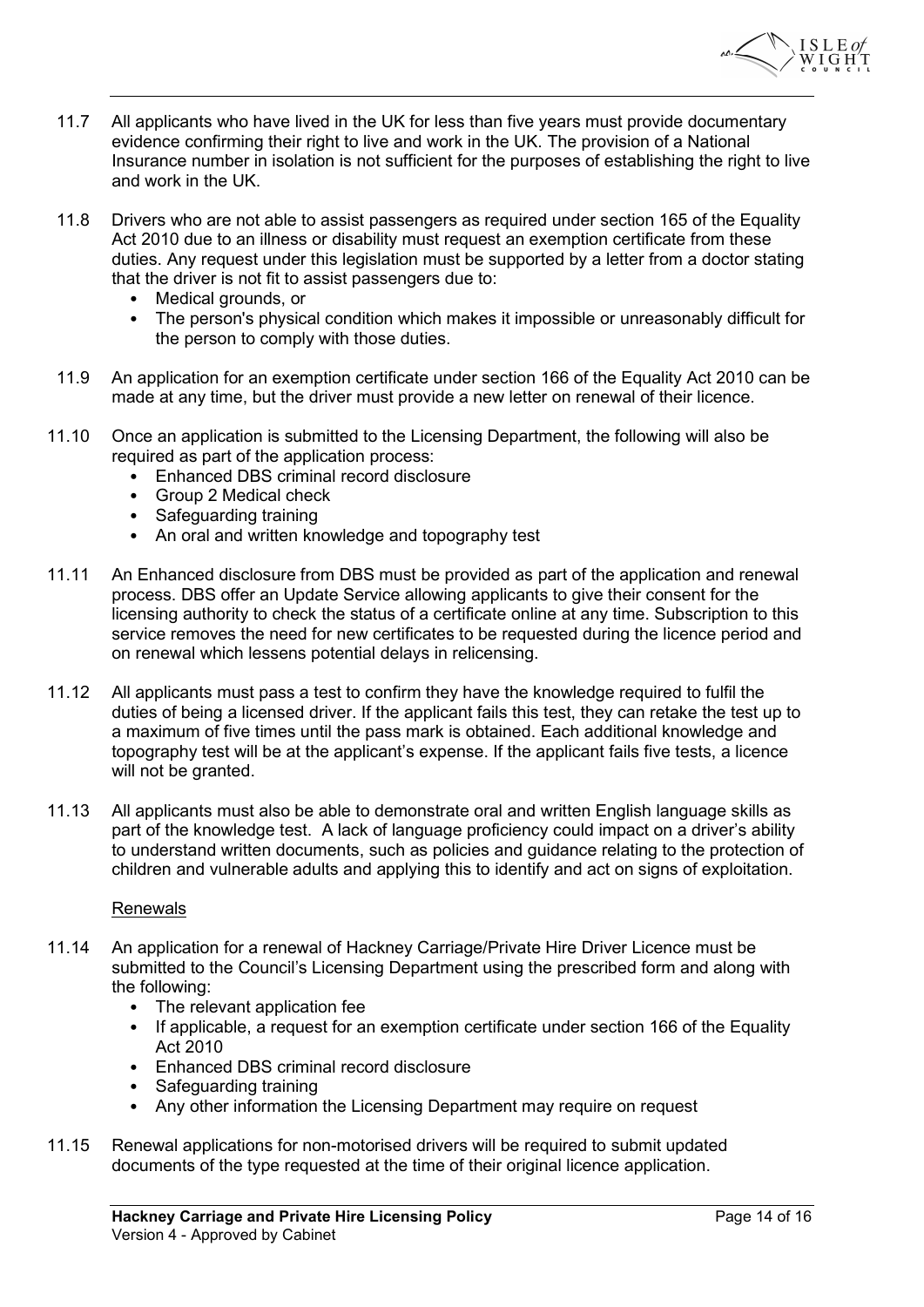

- 11.7 All applicants who have lived in the UK for less than five years must provide documentary evidence confirming their right to live and work in the UK. The provision of a National Insurance number in isolation is not sufficient for the purposes of establishing the right to live and work in the UK.
- 11.8 Drivers who are not able to assist passengers as required under section 165 of the Equality Act 2010 due to an illness or disability must request an exemption certificate from these duties. Any request under this legislation must be supported by a letter from a doctor stating that the driver is not fit to assist passengers due to:
	- Medical grounds, or
	- The person's physical condition which makes it impossible or unreasonably difficult for the person to comply with those duties.
- 11.9 An application for an exemption certificate under section 166 of the Equality Act 2010 can be made at any time, but the driver must provide a new letter on renewal of their licence.
- 11.10 Once an application is submitted to the Licensing Department, the following will also be required as part of the application process:
	- Enhanced DBS criminal record disclosure
	- Group 2 Medical check
	- Safeguarding training
	- An oral and written knowledge and topography test
- 11.11 An Enhanced disclosure from DBS must be provided as part of the application and renewal process. DBS offer an Update Service allowing applicants to give their consent for the licensing authority to check the status of a certificate online at any time. Subscription to this service removes the need for new certificates to be requested during the licence period and on renewal which lessens potential delays in relicensing.
- 11.12 All applicants must pass a test to confirm they have the knowledge required to fulfil the duties of being a licensed driver. If the applicant fails this test, they can retake the test up to a maximum of five times until the pass mark is obtained. Each additional knowledge and topography test will be at the applicant's expense. If the applicant fails five tests, a licence will not be granted.
- 11.13 All applicants must also be able to demonstrate oral and written English language skills as part of the knowledge test. A lack of language proficiency could impact on a driver's ability to understand written documents, such as policies and guidance relating to the protection of children and vulnerable adults and applying this to identify and act on signs of exploitation.

### Renewals

- 11.14 An application for a renewal of Hackney Carriage/Private Hire Driver Licence must be submitted to the Council's Licensing Department using the prescribed form and along with the following:
	- The relevant application fee
	- If applicable, a request for an exemption certificate under section 166 of the Equality Act 2010
	- Enhanced DBS criminal record disclosure
	- Safeguarding training
	- Any other information the Licensing Department may require on request
- 11.15 Renewal applications for non-motorised drivers will be required to submit updated documents of the type requested at the time of their original licence application.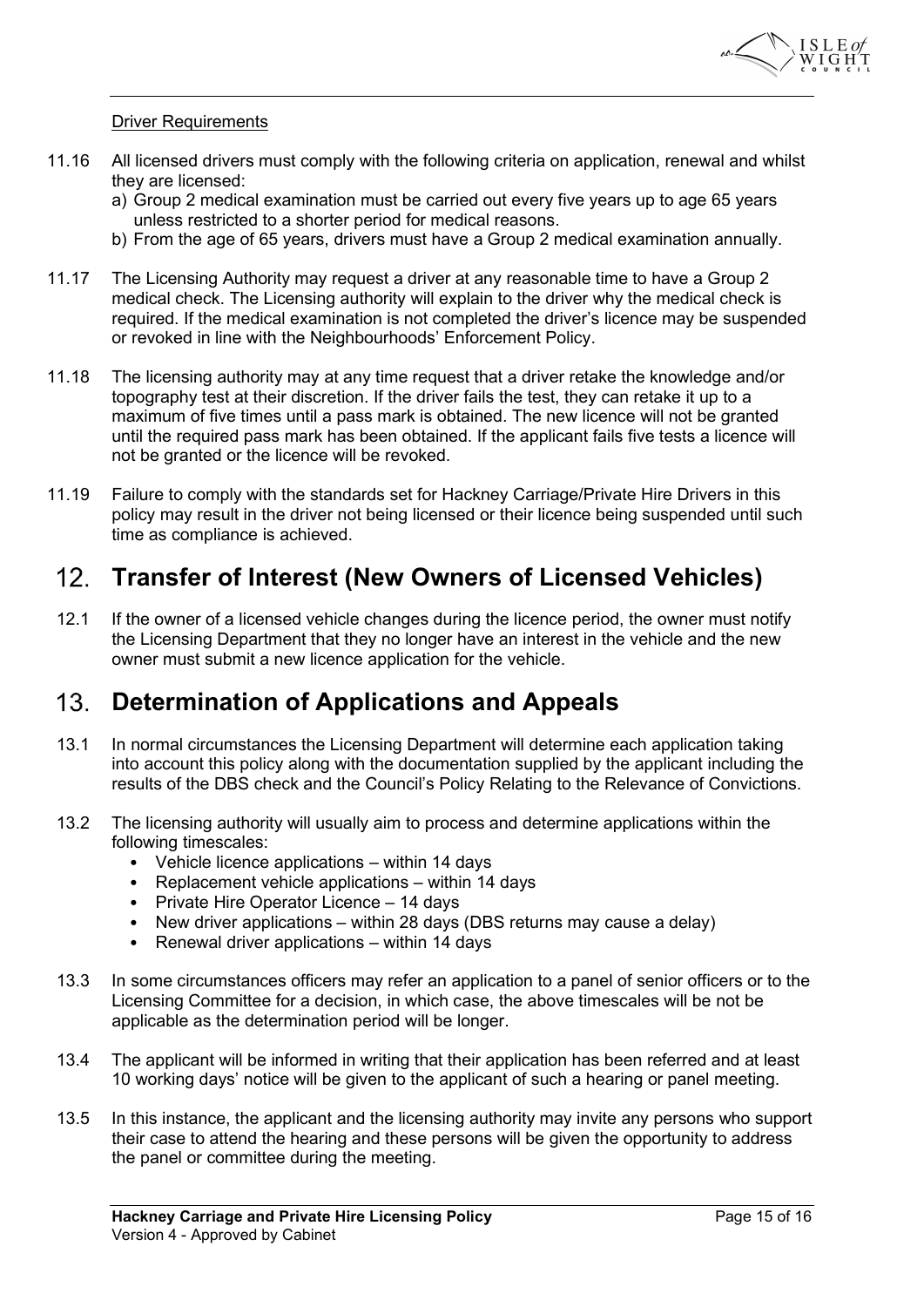

#### Driver Requirements

- 11.16 All licensed drivers must comply with the following criteria on application, renewal and whilst they are licensed:
	- a) Group 2 medical examination must be carried out every five years up to age 65 years unless restricted to a shorter period for medical reasons.
	- b) From the age of 65 years, drivers must have a Group 2 medical examination annually.
- 11.17 The Licensing Authority may request a driver at any reasonable time to have a Group 2 medical check. The Licensing authority will explain to the driver why the medical check is required. If the medical examination is not completed the driver's licence may be suspended or revoked in line with the Neighbourhoods' Enforcement Policy.
- 11.18 The licensing authority may at any time request that a driver retake the knowledge and/or topography test at their discretion. If the driver fails the test, they can retake it up to a maximum of five times until a pass mark is obtained. The new licence will not be granted until the required pass mark has been obtained. If the applicant fails five tests a licence will not be granted or the licence will be revoked.
- 11.19 Failure to comply with the standards set for Hackney Carriage/Private Hire Drivers in this policy may result in the driver not being licensed or their licence being suspended until such time as compliance is achieved.

#### Transfer of Interest (New Owners of Licensed Vehicles)  $12<sub>1</sub>$

12.1 If the owner of a licensed vehicle changes during the licence period, the owner must notify the Licensing Department that they no longer have an interest in the vehicle and the new owner must submit a new licence application for the vehicle.

#### $13<sub>1</sub>$ Determination of Applications and Appeals

- 13.1 In normal circumstances the Licensing Department will determine each application taking into account this policy along with the documentation supplied by the applicant including the results of the DBS check and the Council's Policy Relating to the Relevance of Convictions.
- 13.2 The licensing authority will usually aim to process and determine applications within the following timescales:
	- Vehicle licence applications within 14 days
	- Replacement vehicle applications within 14 days
	- Private Hire Operator Licence 14 days
	- New driver applications within 28 days (DBS returns may cause a delay)
	- Renewal driver applications within 14 days
- 13.3 In some circumstances officers may refer an application to a panel of senior officers or to the Licensing Committee for a decision, in which case, the above timescales will be not be applicable as the determination period will be longer.
- 13.4 The applicant will be informed in writing that their application has been referred and at least 10 working days' notice will be given to the applicant of such a hearing or panel meeting.
- 13.5 In this instance, the applicant and the licensing authority may invite any persons who support their case to attend the hearing and these persons will be given the opportunity to address the panel or committee during the meeting.